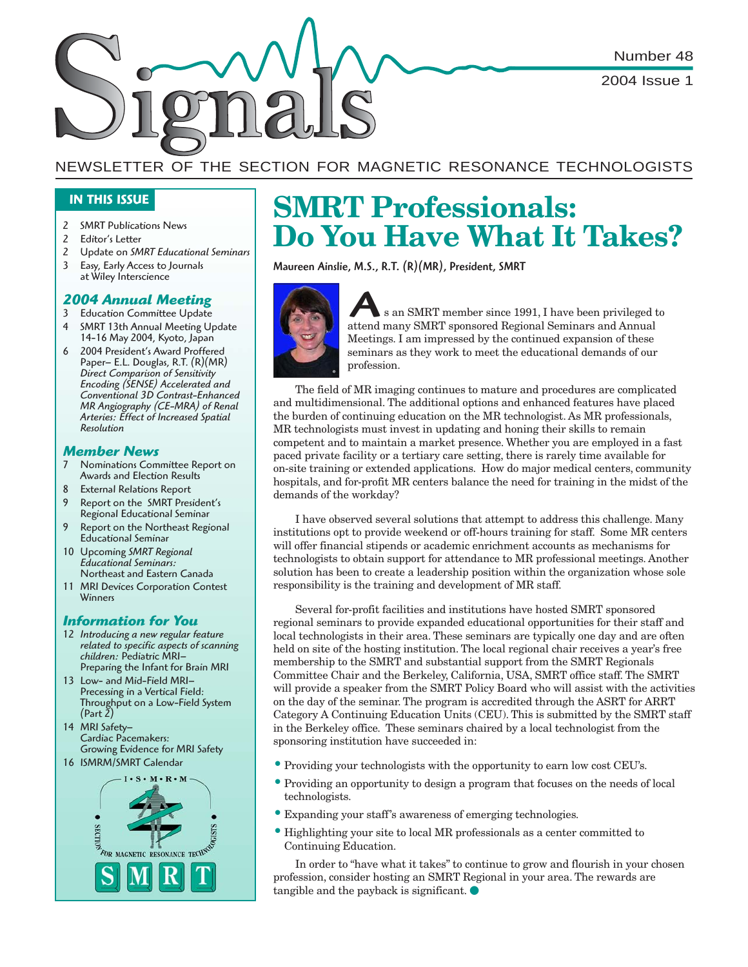Number 48

2004 Issue 1

## NEWSLETTER OF THE SECTION FOR MAGNETIC RESONANCE TECHNOLOGISTS

## **IN THIS ISSUE**

- 2 SMRT Publications News
- 2 Editor's Letter
- 2 Update on *SMRT Educational Seminars*
- 3 Easy, Early Access to Journals at Wiley Interscience

## *2004 Annual Meeting*

- 3 Education Committee Update
- 4 SMRT 13th Annual Meeting Update 14-16 May 2004, Kyoto, Japan
- 6 2004 President's Award Proffered Paper– E.L. Douglas, R.T. (R)(MR) *Direct Comparison of Sensitivity Encoding (SENSE) Accelerated and Conventional 3D Contrast-Enhanced MR Angiography (CE-MRA) of Renal Arteries: Effect of Increased Spatial Resolution*

## *Member News*

- 7 Nominations Committee Report on Awards and Election Results
- 8 External Relations Report
- 9 Report on the SMRT President's Regional Educational Seminar
- 9 Report on the Northeast Regional Educational Seminar
- 10 Upcoming *SMRT Regional Educational Seminars:* Northeast and Eastern Canada
- 11 MRI Devices Corporation Contest Winners

## *Information for You*

- 12 *Introducing a new regular feature related to specific aspects of scanning children:* Pediatric MRI– Preparing the Infant for Brain MRI
- 13 Low- and Mid-Field MRI– Precessing in a Vertical Field: Throughput on a Low-Field System (Part 2)
- 14 MRI Safety– Cardiac Pacemakers: Growing Evidence for MRI Safety





# **SMRT Professionals: Do You Have What It Takes?**

Maureen Ainslie, M.S., R.T. (R)(MR), President, SMRT



attend many SMRT member since 1991, I have been privileged<br>attend many SMRT sponsored Regional Seminars and Annual s an SMRT member since 1991, I have been privileged to Meetings. I am impressed by the continued expansion of these seminars as they work to meet the educational demands of our profession.

The field of MR imaging continues to mature and procedures are complicated and multidimensional. The additional options and enhanced features have placed the burden of continuing education on the MR technologist. As MR professionals, MR technologists must invest in updating and honing their skills to remain competent and to maintain a market presence. Whether you are employed in a fast paced private facility or a tertiary care setting, there is rarely time available for on-site training or extended applications. How do major medical centers, community hospitals, and for-profit MR centers balance the need for training in the midst of the demands of the workday?

I have observed several solutions that attempt to address this challenge. Many institutions opt to provide weekend or off-hours training for staff. Some MR centers will offer financial stipends or academic enrichment accounts as mechanisms for technologists to obtain support for attendance to MR professional meetings. Another solution has been to create a leadership position within the organization whose sole responsibility is the training and development of MR staff.

Several for-profit facilities and institutions have hosted SMRT sponsored regional seminars to provide expanded educational opportunities for their staff and local technologists in their area. These seminars are typically one day and are often held on site of the hosting institution. The local regional chair receives a year's free membership to the SMRT and substantial support from the SMRT Regionals Committee Chair and the Berkeley, California, USA, SMRT office staff. The SMRT will provide a speaker from the SMRT Policy Board who will assist with the activities on the day of the seminar. The program is accredited through the ASRT for ARRT Category A Continuing Education Units (CEU). This is submitted by the SMRT staff in the Berkeley office. These seminars chaired by a local technologist from the sponsoring institution have succeeded in:

- Providing your technologists with the opportunity to earn low cost CEU's.
- Providing an opportunity to design a program that focuses on the needs of local technologists.
- Expanding your staff's awareness of emerging technologies.
- Highlighting your site to local MR professionals as a center committed to Continuing Education.

In order to "have what it takes" to continue to grow and flourish in your chosen profession, consider hosting an SMRT Regional in your area. The rewards are tangible and the payback is significant.  $\bullet$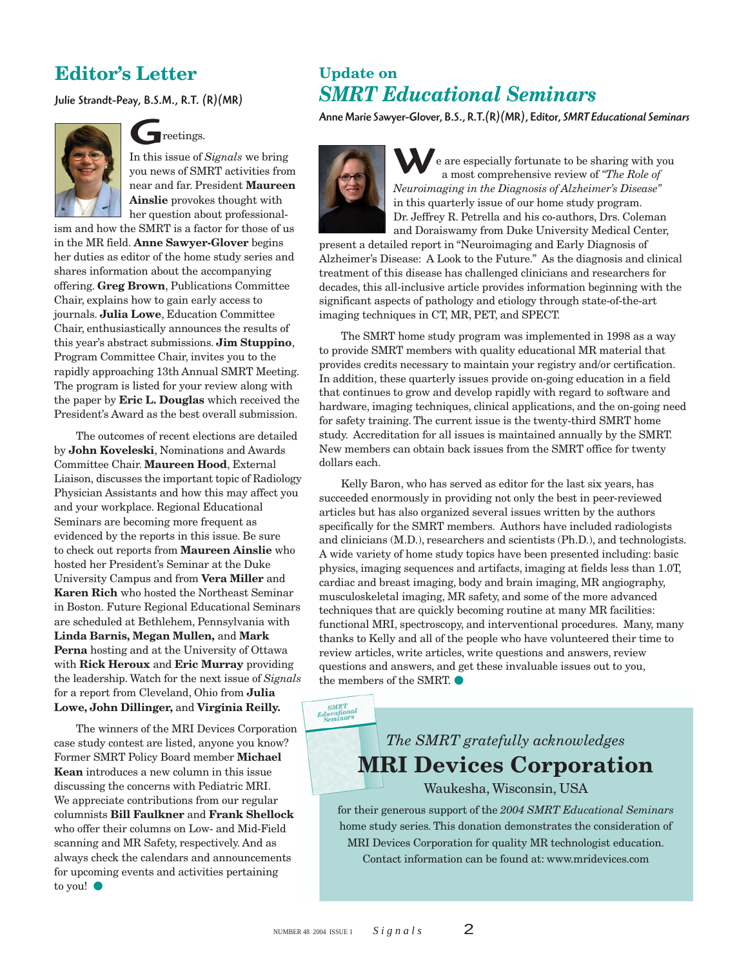## **Editor's Letter**

Julie Strandt-Peay, B.S.M., R.T. (R)(MR)



# G reetings.

In this issue of *Signals* we bring you news of SMRT activities from near and far. President **Maureen Ainslie** provokes thought with her question about professional-

ism and how the SMRT is a factor for those of us in the MR field. **Anne Sawyer-Glover** begins her duties as editor of the home study series and shares information about the accompanying offering. **Greg Brown**, Publications Committee Chair, explains how to gain early access to journals. **Julia Lowe**, Education Committee Chair, enthusiastically announces the results of this year's abstract submissions. **Jim Stuppino**, Program Committee Chair, invites you to the rapidly approaching 13th Annual SMRT Meeting. The program is listed for your review along with the paper by **Eric L. Douglas** which received the President's Award as the best overall submission.

The outcomes of recent elections are detailed by **John Koveleski**, Nominations and Awards Committee Chair. **Maureen Hood**, External Liaison, discusses the important topic of Radiology Physician Assistants and how this may affect you and your workplace. Regional Educational Seminars are becoming more frequent as evidenced by the reports in this issue. Be sure to check out reports from **Maureen Ainslie** who hosted her President's Seminar at the Duke University Campus and from **Vera Miller** and **Karen Rich** who hosted the Northeast Seminar in Boston. Future Regional Educational Seminars are scheduled at Bethlehem, Pennsylvania with **Linda Barnis, Megan Mullen,** and **Mark Perna** hosting and at the University of Ottawa with **Rick Heroux** and **Eric Murray** providing the leadership. Watch for the next issue of *Signals* for a report from Cleveland, Ohio from **Julia Lowe, John Dillinger,** and **Virginia Reilly.**

The winners of the MRI Devices Corporation case study contest are listed, anyone you know? Former SMRT Policy Board member **Michael Kean** introduces a new column in this issue discussing the concerns with Pediatric MRI. We appreciate contributions from our regular columnists **Bill Faulkner** and **Frank Shellock** who offer their columns on Low- and Mid-Field scanning and MR Safety, respectively. And as always check the calendars and announcements for upcoming events and activities pertaining to you!

## **Update on** *SMRT Educational Seminars*

Anne Marie Sawyer-Glover, B.S., R.T.(R)(MR), Editor, *SMRT Educational Seminars*



W e are especially fortunate to be sharing with you a most comprehensive review of *"The Role of Neuroimaging in the Diagnosis of Alzheimer's Disease"* in this quarterly issue of our home study program. Dr. Jeffrey R. Petrella and his co-authors, Drs. Coleman and Doraiswamy from Duke University Medical Center,

present a detailed report in "Neuroimaging and Early Diagnosis of Alzheimer's Disease: A Look to the Future." As the diagnosis and clinical treatment of this disease has challenged clinicians and researchers for decades, this all-inclusive article provides information beginning with the significant aspects of pathology and etiology through state-of-the-art imaging techniques in CT, MR, PET, and SPECT.

The SMRT home study program was implemented in 1998 as a way to provide SMRT members with quality educational MR material that provides credits necessary to maintain your registry and/or certification. In addition, these quarterly issues provide on-going education in a field that continues to grow and develop rapidly with regard to software and hardware, imaging techniques, clinical applications, and the on-going need for safety training. The current issue is the twenty-third SMRT home study. Accreditation for all issues is maintained annually by the SMRT. New members can obtain back issues from the SMRT office for twenty dollars each.

Kelly Baron, who has served as editor for the last six years, has succeeded enormously in providing not only the best in peer-reviewed articles but has also organized several issues written by the authors specifically for the SMRT members. Authors have included radiologists and clinicians (M.D.), researchers and scientists (Ph.D.), and technologists. A wide variety of home study topics have been presented including: basic physics, imaging sequences and artifacts, imaging at fields less than 1.0T, cardiac and breast imaging, body and brain imaging, MR angiography, musculoskeletal imaging, MR safety, and some of the more advanced techniques that are quickly becoming routine at many MR facilities: functional MRI, spectroscopy, and interventional procedures. Many, many thanks to Kelly and all of the people who have volunteered their time to review articles, write articles, write questions and answers, review questions and answers, and get these invaluable issues out to you, the members of the SMRT.

 $\frac{\textit{SMRT}}{\textit{Equational}}\\ \frac{\textit{Educational}}{\textit{Seminars}}$ 

# *The SMRT gratefully acknowledges* **MRI Devices Corporation**

Waukesha, Wisconsin, USA

for their generous support of the *2004 SMRT Educational Seminars* home study series. This donation demonstrates the consideration of MRI Devices Corporation for quality MR technologist education. Contact information can be found at: www.mridevices.com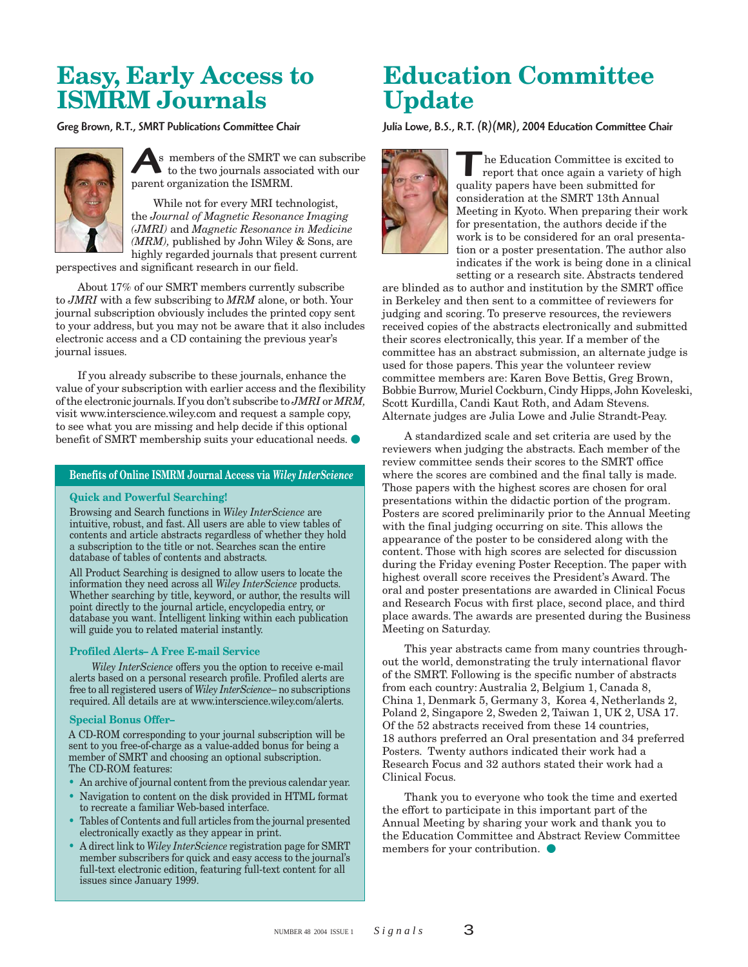# **Easy, Early Access to ISMRM Journals**

Greg Brown, R.T., SMRT Publications Committee Chair



s members of the SMRT we<br>to the two journals association the ISMRM. s members of the SMRT we can subscribe to the two journals associated with our

While not for every MRI technologist, the *Journal of Magnetic Resonance Imaging (JMRI)* and *Magnetic Resonance in Medicine (MRM),* published by John Wiley & Sons, are highly regarded journals that present current

perspectives and significant research in our field.

About 17% of our SMRT members currently subscribe to *JMRI* with a few subscribing to *MRM* alone, or both. Your journal subscription obviously includes the printed copy sent to your address, but you may not be aware that it also includes electronic access and a CD containing the previous year's journal issues.

If you already subscribe to these journals, enhance the value of your subscription with earlier access and the flexibility of the electronic journals. If you don't subscribe to *JMRI* or *MRM,* visit www.interscience.wiley.com and request a sample copy, to see what you are missing and help decide if this optional benefit of SMRT membership suits your educational needs.

### **Benefits of Online ISMRM Journal Access via** *Wiley InterScience*

#### **Quick and Powerful Searching!**

Browsing and Search functions in *Wiley InterScience* are intuitive, robust, and fast. All users are able to view tables of contents and article abstracts regardless of whether they hold a subscription to the title or not. Searches scan the entire database of tables of contents and abstracts.

All Product Searching is designed to allow users to locate the information they need across all *Wiley InterScience* products. Whether searching by title, keyword, or author, the results will point directly to the journal article, encyclopedia entry, or database you want. Intelligent linking within each publication will guide you to related material instantly.

#### **Profiled Alerts– A Free E-mail Service**

*Wiley InterScience* offers you the option to receive e-mail alerts based on a personal research profile. Profiled alerts are free to all registered users of *Wiley InterScience*– no subscriptions required. All details are at www.interscience.wiley.com/alerts.

### **Special Bonus Offer–**

A CD-ROM corresponding to your journal subscription will be sent to you free-of-charge as a value-added bonus for being a member of SMRT and choosing an optional subscription. The CD-ROM features:

- An archive of journal content from the previous calendar year.
- Navigation to content on the disk provided in HTML format to recreate a familiar Web-based interface.
- Tables of Contents and full articles from the journal presented electronically exactly as they appear in print.
- A direct link to *Wiley InterScience* registration page for SMRT member subscribers for quick and easy access to the journal's full-text electronic edition, featuring full-text content for all issues since January 1999.

# **Education Committee Update**

Julia Lowe, B.S., R.T. (R)(MR), 2004 Education Committee Chair



The Education Committee is excited to<br>report that once again a variety of high<br>quality papers have been submitted for quality papers have been submitted for consideration at the SMRT 13th Annual Meeting in Kyoto. When preparing their work for presentation, the authors decide if the work is to be considered for an oral presentation or a poster presentation. The author also indicates if the work is being done in a clinical setting or a research site. Abstracts tendered

are blinded as to author and institution by the SMRT office in Berkeley and then sent to a committee of reviewers for judging and scoring. To preserve resources, the reviewers received copies of the abstracts electronically and submitted their scores electronically, this year. If a member of the committee has an abstract submission, an alternate judge is used for those papers. This year the volunteer review committee members are: Karen Bove Bettis, Greg Brown, Bobbie Burrow, Muriel Cockburn, Cindy Hipps, John Koveleski, Scott Kurdilla, Candi Kaut Roth, and Adam Stevens. Alternate judges are Julia Lowe and Julie Strandt-Peay.

A standardized scale and set criteria are used by the reviewers when judging the abstracts. Each member of the review committee sends their scores to the SMRT office where the scores are combined and the final tally is made. Those papers with the highest scores are chosen for oral presentations within the didactic portion of the program. Posters are scored preliminarily prior to the Annual Meeting with the final judging occurring on site. This allows the appearance of the poster to be considered along with the content. Those with high scores are selected for discussion during the Friday evening Poster Reception. The paper with highest overall score receives the President's Award. The oral and poster presentations are awarded in Clinical Focus and Research Focus with first place, second place, and third place awards. The awards are presented during the Business Meeting on Saturday.

This year abstracts came from many countries throughout the world, demonstrating the truly international flavor of the SMRT. Following is the specific number of abstracts from each country: Australia 2, Belgium 1, Canada 8, China 1, Denmark 5, Germany 3, Korea 4, Netherlands 2, Poland 2, Singapore 2, Sweden 2, Taiwan 1, UK 2, USA 17. Of the 52 abstracts received from these 14 countries, 18 authors preferred an Oral presentation and 34 preferred Posters. Twenty authors indicated their work had a Research Focus and 32 authors stated their work had a Clinical Focus.

Thank you to everyone who took the time and exerted the effort to participate in this important part of the Annual Meeting by sharing your work and thank you to the Education Committee and Abstract Review Committee members for your contribution.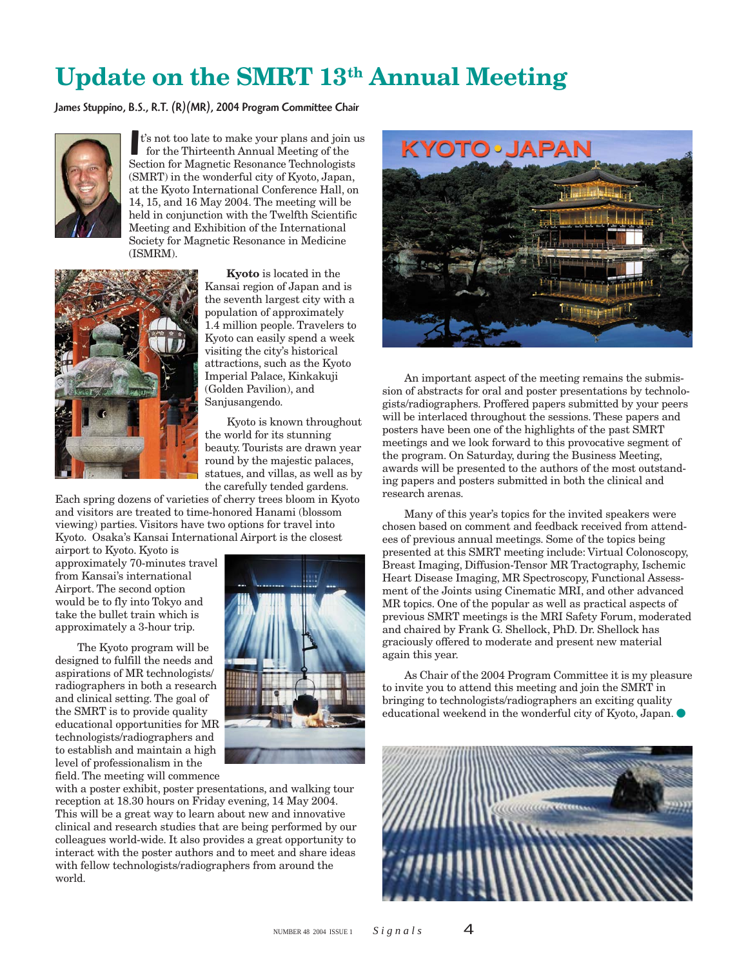# **Update on the SMRT 13th Annual Meeting**

James Stuppino, B.S., R.T. (R)(MR), 2004 Program Committee Chair



t's not too late to make your plans and join<br>for the Thirteenth Annual Meeting of the<br>Section for Magnetic Resonance Technologists t's not too late to make your plans and join us for the Thirteenth Annual Meeting of the (SMRT) in the wonderful city of Kyoto, Japan, at the Kyoto International Conference Hall, on 14, 15, and 16 May 2004. The meeting will be held in conjunction with the Twelfth Scientific Meeting and Exhibition of the International Society for Magnetic Resonance in Medicine (ISMRM).



**Kyoto** is located in the Kansai region of Japan and is the seventh largest city with a population of approximately 1.4 million people. Travelers to Kyoto can easily spend a week visiting the city's historical attractions, such as the Kyoto Imperial Palace, Kinkakuji (Golden Pavilion), and Sanjusangendo.

Kyoto is known throughout the world for its stunning beauty. Tourists are drawn year round by the majestic palaces, statues, and villas, as well as by the carefully tended gardens.

Each spring dozens of varieties of cherry trees bloom in Kyoto and visitors are treated to time-honored Hanami (blossom viewing) parties. Visitors have two options for travel into Kyoto. Osaka's Kansai International Airport is the closest

airport to Kyoto. Kyoto is approximately 70-minutes travel from Kansai's international Airport. The second option would be to fly into Tokyo and take the bullet train which is approximately a 3-hour trip.

The Kyoto program will be designed to fulfill the needs and aspirations of MR technologists/ radiographers in both a research and clinical setting. The goal of the SMRT is to provide quality educational opportunities for MR technologists/radiographers and to establish and maintain a high level of professionalism in the field. The meeting will commence



with a poster exhibit, poster presentations, and walking tour reception at 18.30 hours on Friday evening, 14 May 2004. This will be a great way to learn about new and innovative clinical and research studies that are being performed by our colleagues world-wide. It also provides a great opportunity to interact with the poster authors and to meet and share ideas with fellow technologists/radiographers from around the world.



An important aspect of the meeting remains the submission of abstracts for oral and poster presentations by technologists/radiographers. Proffered papers submitted by your peers will be interlaced throughout the sessions. These papers and posters have been one of the highlights of the past SMRT meetings and we look forward to this provocative segment of the program. On Saturday, during the Business Meeting, awards will be presented to the authors of the most outstanding papers and posters submitted in both the clinical and research arenas.

Many of this year's topics for the invited speakers were chosen based on comment and feedback received from attendees of previous annual meetings. Some of the topics being presented at this SMRT meeting include: Virtual Colonoscopy, Breast Imaging, Diffusion-Tensor MR Tractography, Ischemic Heart Disease Imaging, MR Spectroscopy, Functional Assessment of the Joints using Cinematic MRI, and other advanced MR topics. One of the popular as well as practical aspects of previous SMRT meetings is the MRI Safety Forum, moderated and chaired by Frank G. Shellock, PhD. Dr. Shellock has graciously offered to moderate and present new material again this year.

As Chair of the 2004 Program Committee it is my pleasure to invite you to attend this meeting and join the SMRT in bringing to technologists/radiographers an exciting quality educational weekend in the wonderful city of Kyoto, Japan.

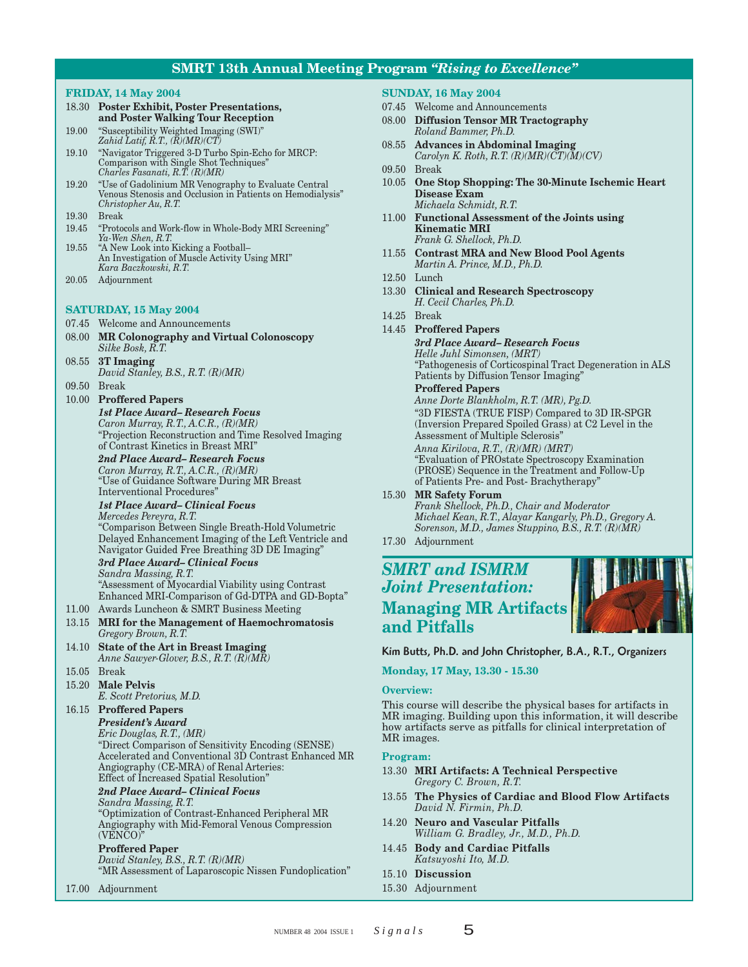## **SMRT 13th Annual Meeting Program** *"Rising to Excellence"*

### **FRIDAY, 14 May 2004**

- 18.30 **Poster Exhibit, Poster Presentations, and Poster Walking Tour Reception**
- 19.00 "Susceptibility Weighted Imaging (SWI)" *Zahid Latif, R.T., (R)(MR)(CT)*
- 19.10 "Navigator Triggered 3-D Turbo Spin-Echo for MRCP: Comparison with Single Shot Techniques" *Charles Fasanati, R.T. (R)(MR)*
- 19.20 "Use of Gadolinium MR Venography to Evaluate Central Venous Stenosis and Occlusion in Patients on Hemodialysis" *Christopher Au, R.T.*
- 19.30 Break
- 19.45 "Protocols and Work-flow in Whole-Body MRI Screening" *Ya-Wen Shen, R.T.*
- 19.55 "A New Look into Kicking a Football– An Investigation of Muscle Activity Using MRI" *Kara Baczkowski, R.T.*
- 20.05 Adjournment

## **SATURDAY, 15 May 2004**

- 07.45 Welcome and Announcements
- 08.00 **MR Colonography and Virtual Colonoscopy** *Silke Bosk, R.T.*
- 08.55 **3T Imaging** *David Stanley, B.S., R.T. (R)(MR)*
- 09.50 Break
- 10.00 **Proffered Papers**

*1st Place Award– Research Focus Caron Murray, R.T., A.C.R., (R)(MR)* "Projection Reconstruction and Time Resolved Imaging of Contrast Kinetics in Breast MRI"

*2nd Place Award– Research Focus Caron Murray, R.T., A.C.R., (R)(MR)* "Use of Guidance Software During MR Breast Interventional Procedures"

#### *1st Place Award– Clinical Focus Mercedes Pereyra, R.T.*

"Comparison Between Single Breath-Hold Volumetric Delayed Enhancement Imaging of the Left Ventricle and Navigator Guided Free Breathing 3D DE Imaging"

*3rd Place Award– Clinical Focus Sandra Massing, R.T.* "Assessment of Myocardial Viability using Contrast Enhanced MRI-Comparison of Gd-DTPA and GD-Bopta"

- 11.00 Awards Luncheon & SMRT Business Meeting
- 13.15 **MRI for the Management of Haemochromatosis** *Gregory Brown, R.T.*
- 14.10 **State of the Art in Breast Imaging** *Anne Sawyer-Glover, B.S., R.T. (R)(MR)*
- 15.05 Break
- 15.20 **Male Pelvis**
	- *E. Scott Pretorius, M.D.*

## 16.15 **Proffered Papers**

*President's Award*

*Eric Douglas, R.T., (MR)* "Direct Comparison of Sensitivity Encoding (SENSE) Accelerated and Conventional 3D Contrast Enhanced MR Angiography (CE-MRA) of Renal Arteries: Effect of Increased Spatial Resolution"

## *2nd Place Award– Clinical Focus*

*Sandra Massing, R.T.*

"Optimization of Contrast-Enhanced Peripheral MR Angiography with Mid-Femoral Venous Compression (VENCO)"

## **Proffered Paper**

*David Stanley, B.S., R.T. (R)(MR)* "MR Assessment of Laparoscopic Nissen Fundoplication"

17.00 Adjournment

### **SUNDAY, 16 May 2004**

- 07.45 Welcome and Announcements
- 08.00 **Diffusion Tensor MR Tractography** *Roland Bammer, Ph.D.*
- 08.55 **Advances in Abdominal Imaging** *Carolyn K. Roth, R.T. (R)(MR)(CT)(M)(CV)*
- 09.50 Break
- 10.05 **One Stop Shopping: The 30-Minute Ischemic Heart Disease Exam** *Michaela Schmidt, R.T.*
- 11.00 **Functional Assessment of the Joints using Kinematic MRI** *Frank G. Shellock, Ph.D.*
- 11.55 **Contrast MRA and New Blood Pool Agents** *Martin A. Prince, M.D., Ph.D.*
- 12.50 Lunch
- 13.30 **Clinical and Research Spectroscopy** *H. Cecil Charles, Ph.D.*
- 14.25 Break
- 14.45 **Proffered Papers**

## *3rd Place Award– Research Focus*

*Helle Juhl Simonsen, (MRT)* "Pathogenesis of Corticospinal Tract Degeneration in ALS Patients by Diffusion Tensor Imaging"

## **Proffered Papers**

*Anne Dorte Blankholm, R.T. (MR), Pg.D.* "3D FIESTA (TRUE FISP) Compared to 3D IR-SPGR (Inversion Prepared Spoiled Grass) at C2 Level in the Assessment of Multiple Sclerosis"

*Anna Kirilova, R.T., (R)(MR) (MRT)* "Evaluation of PROstate Spectroscopy Examination (PROSE) Sequence in the Treatment and Follow-Up of Patients Pre- and Post- Brachytherapy"

- 15.30 **MR Safety Forum** *Frank Shellock, Ph.D., Chair and Moderator Michael Kean, R.T., Alayar Kangarly, Ph.D., Gregory A. Sorenson, M.D., James Stuppino, B.S., R.T. (R)(MR)*
- 17.30 Adjournment

## *SMRT and ISMRM Joint Presentation:* **Managing MR Artifacts and Pitfalls**



### Kim Butts, Ph.D. and John Christopher, B.A., R.T., Organizers

**Monday, 17 May, 13.30 - 15.30**

### **Overview:**

This course will describe the physical bases for artifacts in MR imaging. Building upon this information, it will describe how artifacts serve as pitfalls for clinical interpretation of MR images.

### **Program:**

- 13.30 **MRI Artifacts: A Technical Perspective** *Gregory C. Brown, R.T.*
- 13.55 **The Physics of Cardiac and Blood Flow Artifacts** *David N. Firmin, Ph.D.*
- 14.20 **Neuro and Vascular Pitfalls** *William G. Bradley, Jr., M.D., Ph.D.*
- 14.45 **Body and Cardiac Pitfalls** *Katsuyoshi Ito, M.D.*
- 15.10 **Discussion**
- 15.30 Adjournment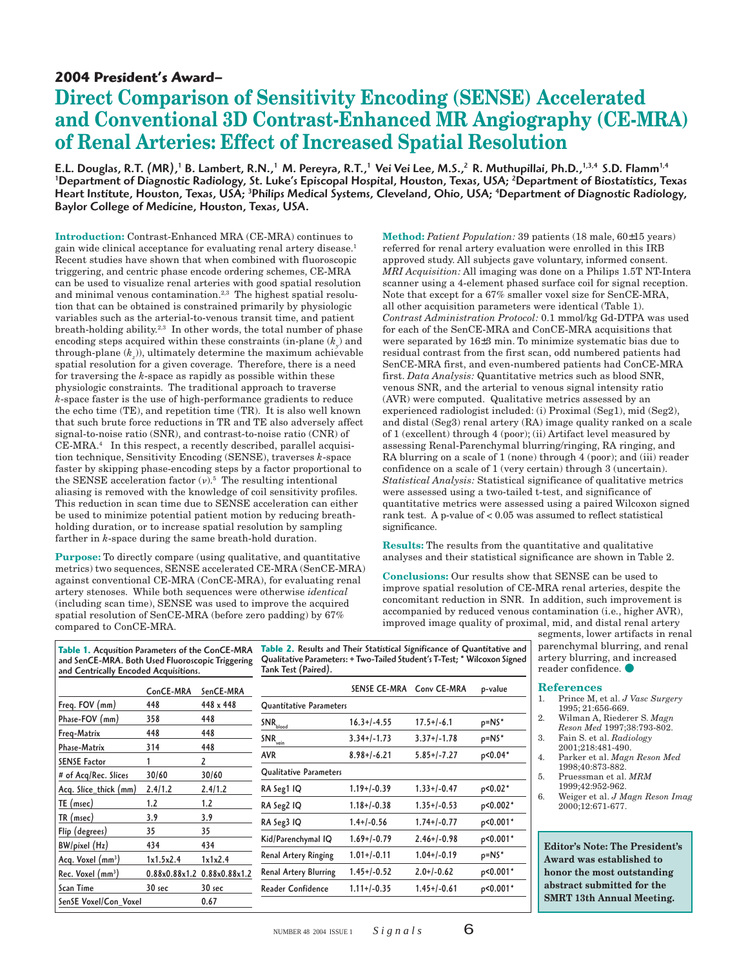## **2004 President's Award–**

## **Direct Comparison of Sensitivity Encoding (SENSE) Accelerated and Conventional 3D Contrast-Enhanced MR Angiography (CE-MRA) of Renal Arteries: Effect of Increased Spatial Resolution**

E.L. Douglas, R.T. (MR),<sup>1</sup> B. Lambert, R.N.,<sup>1</sup> M. Pereyra, R.T.,<sup>1</sup> Vei Vei Lee, M.S.,<sup>2</sup> R. Muthupillai, Ph.D.,<sup>1,3,4</sup> S.D. Flamm<sup>1,4</sup> 1 Department of Diagnostic Radiology, St. Luke's Episcopal Hospital, Houston, Texas, USA; 2 Department of Biostatistics, Texas Heart Institute, Houston, Texas, USA; <sup>3</sup>Philips Medical Systems, Cleveland, Ohio, USA; <sup>4</sup>Department of Diagnostic Radiology, Baylor College of Medicine, Houston, Texas, USA.

**Introduction:** Contrast-Enhanced MRA (CE-MRA) continues to gain wide clinical acceptance for evaluating renal artery disease.1 Recent studies have shown that when combined with fluoroscopic triggering, and centric phase encode ordering schemes, CE-MRA can be used to visualize renal arteries with good spatial resolution and minimal venous contamination.<sup>2,3</sup> The highest spatial resolution that can be obtained is constrained primarily by physiologic variables such as the arterial-to-venous transit time, and patient breath-holding ability.<sup>2,3</sup> In other words, the total number of phase encoding steps acquired within these constraints (in-plane  $(k_{\tiny y})$  and through-plane (*kz* )), ultimately determine the maximum achievable spatial resolution for a given coverage. Therefore, there is a need for traversing the *k*-space as rapidly as possible within these physiologic constraints. The traditional approach to traverse *k*-space faster is the use of high-performance gradients to reduce the echo time (TE), and repetition time (TR). It is also well known that such brute force reductions in TR and TE also adversely affect signal-to-noise ratio (SNR), and contrast-to-noise ratio (CNR) of  $CE-MRA$ <sup>4</sup> In this respect, a recently described, parallel acquisition technique, Sensitivity Encoding (SENSE), traverses *k*-space faster by skipping phase-encoding steps by a factor proportional to the SENSE acceleration factor  $(v)$ .<sup>5</sup> The resulting intentional aliasing is removed with the knowledge of coil sensitivity profiles. This reduction in scan time due to SENSE acceleration can either be used to minimize potential patient motion by reducing breathholding duration, or to increase spatial resolution by sampling farther in *k*-space during the same breath-hold duration.

**Purpose:** To directly compare (using qualitative, and quantitative metrics) two sequences, SENSE accelerated CE-MRA (SenCE-MRA) against conventional CE-MRA (ConCE-MRA), for evaluating renal artery stenoses. While both sequences were otherwise *identical* (including scan time), SENSE was used to improve the acquired spatial resolution of SenCE-MRA (before zero padding) by 67% compared to ConCE-MRA.

ConCE-MRA SenCE-MRA

and Centrically Encoded Acquisitions.

Acq. Voxel (mm<sup>3</sup>)

Rec. Voxel (mm<sup>3</sup>)

Freq. FOV  $(mm)$  448 448 x 448 Phase-FOV (mm) 358 448 Freq-Matrix 448 448 Phase-Matrix 314 448 SENSE Factor 1 2 # of Acq/Rec. Slices 30/60 30/60 Acq. Slice\_thick (mm) 2.4/1.2 2.4/1.2 TE (msec) 1.2 1.2 TR (msec) 3.9 3.9 Flip (degrees) 35 35 BW/pixel (Hz) 434 434

Scan Time 30 sec 30 sec SenSE Voxel/Con\_Voxel 0.67

**Method:** *Patient Population:* 39 patients (18 male, 60±15 years) referred for renal artery evaluation were enrolled in this IRB approved study. All subjects gave voluntary, informed consent. *MRI Acquisition:* All imaging was done on a Philips 1.5T NT-Intera scanner using a 4-element phased surface coil for signal reception. Note that except for a 67% smaller voxel size for SenCE-MRA, all other acquisition parameters were identical (Table 1). *Contrast Administration Protocol:* 0.1 mmol/kg Gd-DTPA was used for each of the SenCE-MRA and ConCE-MRA acquisitions that were separated by 16±3 min. To minimize systematic bias due to residual contrast from the first scan, odd numbered patients had SenCE-MRA first, and even-numbered patients had ConCE-MRA first. *Data Analysis:* Quantitative metrics such as blood SNR, venous SNR, and the arterial to venous signal intensity ratio (AVR) were computed. Qualitative metrics assessed by an experienced radiologist included: (i) Proximal (Seg1), mid (Seg2), and distal (Seg3) renal artery (RA) image quality ranked on a scale of 1 (excellent) through 4 (poor); (ii) Artifact level measured by assessing Renal-Parenchymal blurring/ringing, RA ringing, and RA blurring on a scale of 1 (none) through 4 (poor); and (iii) reader confidence on a scale of 1 (very certain) through 3 (uncertain). *Statistical Analysis:* Statistical significance of qualitative metrics were assessed using a two-tailed t-test, and significance of quantitative metrics were assessed using a paired Wilcoxon signed rank test. A p-value of < 0.05 was assumed to reflect statistical significance.

**Results:** The results from the quantitative and qualitative analyses and their statistical significance are shown in Table 2.

**Conclusions:** Our results show that SENSE can be used to improve spatial resolution of CE-MRA renal arteries, despite the concomitant reduction in SNR. In addition, such improvement is accompanied by reduced venous contamination (i.e., higher AVR), improved image quality of proximal, mid, and distal renal artery

> p<0.001\*  $p$ <0.001\*

segments, lower artifacts in renal parenchymal blurring, and renal artery blurring, and increased reader confidence.

### **References**

- 1. Prince M, et al. *J Vasc Surgery* 1995; 21:656-669.
- 2. Wilman A, Riederer S. *Magn Reson Med* 1997;38:793-802.
- 3. Fain S. et al. *Radiology*
- 2001;218:481-490. 4. Parker et al. *Magn Reson Med*
- 1998;40:873-882.
- 5. Pruessman et al. *MRM* 1999;42:952-962.
- 6. Weiger et al. *J Magn Reson Imag* 2000;12:671-677.

**Editor's Note: The President's Award was established to honor the most outstanding abstract submitted for the SMRT 13th Annual Meeting.**

| דנד                         | サコサ               |                              |               |                  |          |
|-----------------------------|-------------------|------------------------------|---------------|------------------|----------|
| 1x1.5x2.4                   | 1x1x2.4           | Renal Artery Ringing         | $1.01+/-0.11$ | $1.04 + 0.19$    | $p=NS^*$ |
| 0.88x0.88x1.2 0.88x0.88x1.2 |                   | <b>Renal Artery Blurring</b> | $1.45+/-0.52$ | $2.0 + 1 - 0.62$ | p < 0.00 |
| 30 sec                      | 30 <sub>sec</sub> | <b>Reader Confidence</b>     | $1.11+/-0.35$ | $1.45+/-0.61$    | p < 0.00 |
|                             | 0.67              |                              |               |                  |          |
|                             |                   |                              |               |                  |          |

Quantitative Parameters

Qualitative Parameters

#### **Table 1.** Acqusition Parameters of the ConCE-MRA and SenCE-MRA. Both Used Fluoroscopic Triggering **Table 2.** Results and Their Statistical Significance of Quantitative and Qualitative Parameters: + Two-Tailed Student's T-Test; \* Wilcoxon Signed Tank Test (Paired).

 $SNR_{total}$  16.3+/-4.55 17.5+/-6.1 p=NS\* SNR 3.34+/-1.73 3.37+/-1.78 p=NS\* AVR 8.98+/-6.21 5.85+/-7.27  $p < 0.04*$ 

RA Seg1 IQ 1.19+/-0.39 1.33+/-0.47 p<0.02\* RA Seg2 IQ 1.18+/-0.38 1.35+/-0.53 p<0.002\* RA Seg3 IQ 1.4+/-0.56 1.74+/-0.77 p<0.001<sup>\*</sup> Kid/Parenchymal IQ 1.69+/-0.79 2.46+/-0.98 p<0.001\*

SENSE CE-MRA Conv CE-MRA p-value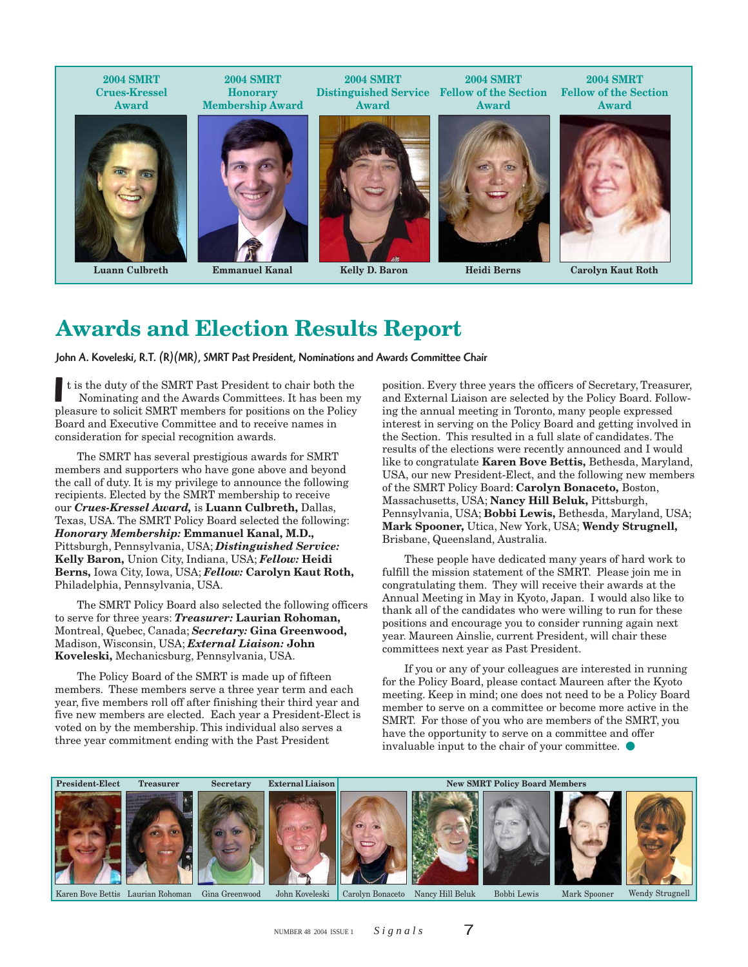**2004 SMRT Crues-Kressel Award 2004 SMRT Honorary Membership Award 2004 SMRT Distinguished Service Fellow of the Section Award 2004 SMRT Award 2004 SMRT Fellow of the Section Award**

**Luann Culbreth**

**Emmanuel Kanal**

**Kelly D. Baron**

**Heidi Berns**



**Carolyn Kaut Roth**

# **Awards and Election Results Report**

John A. Koveleski, R.T. (R)(MR), SMRT Past President, Nominations and Awards Committee Chair

It is the duty of the SMRT Past President to chair both the Nominating and the Awards Committees. It has been my pleasure to solicit SMRT members for positions on the Policy t is the duty of the SMRT Past President to chair both the Nominating and the Awards Committees. It has been my Board and Executive Committee and to receive names in consideration for special recognition awards.

The SMRT has several prestigious awards for SMRT members and supporters who have gone above and beyond the call of duty. It is my privilege to announce the following recipients. Elected by the SMRT membership to receive our *Crues-Kressel Award,* is **Luann Culbreth,** Dallas, Texas, USA. The SMRT Policy Board selected the following: *Honorary Membership:* **Emmanuel Kanal, M.D.,** Pittsburgh, Pennsylvania, USA; *Distinguished Service:* **Kelly Baron,** Union City, Indiana, USA; *Fellow:* **Heidi Berns,** Iowa City, Iowa, USA; *Fellow:* **Carolyn Kaut Roth,** Philadelphia, Pennsylvania, USA.

The SMRT Policy Board also selected the following officers to serve for three years: *Treasurer:* **Laurian Rohoman,** Montreal, Quebec, Canada; *Secretary:* **Gina Greenwood,** Madison, Wisconsin, USA; *External Liaison:* **John Koveleski,** Mechanicsburg, Pennsylvania, USA.

The Policy Board of the SMRT is made up of fifteen members. These members serve a three year term and each year, five members roll off after finishing their third year and five new members are elected. Each year a President-Elect is voted on by the membership. This individual also serves a three year commitment ending with the Past President

position. Every three years the officers of Secretary, Treasurer, and External Liaison are selected by the Policy Board. Following the annual meeting in Toronto, many people expressed interest in serving on the Policy Board and getting involved in the Section. This resulted in a full slate of candidates. The results of the elections were recently announced and I would like to congratulate **Karen Bove Bettis,** Bethesda, Maryland, USA, our new President-Elect, and the following new members of the SMRT Policy Board: **Carolyn Bonaceto,** Boston, Massachusetts, USA; **Nancy Hill Beluk,** Pittsburgh, Pennsylvania, USA; **Bobbi Lewis,** Bethesda, Maryland, USA; **Mark Spooner,** Utica, New York, USA; **Wendy Strugnell,** Brisbane, Queensland, Australia.

These people have dedicated many years of hard work to fulfill the mission statement of the SMRT. Please join me in congratulating them. They will receive their awards at the Annual Meeting in May in Kyoto, Japan. I would also like to thank all of the candidates who were willing to run for these positions and encourage you to consider running again next year. Maureen Ainslie, current President, will chair these committees next year as Past President.

If you or any of your colleagues are interested in running for the Policy Board, please contact Maureen after the Kyoto meeting. Keep in mind; one does not need to be a Policy Board member to serve on a committee or become more active in the SMRT. For those of you who are members of the SMRT, you have the opportunity to serve on a committee and offer invaluable input to the chair of your committee.

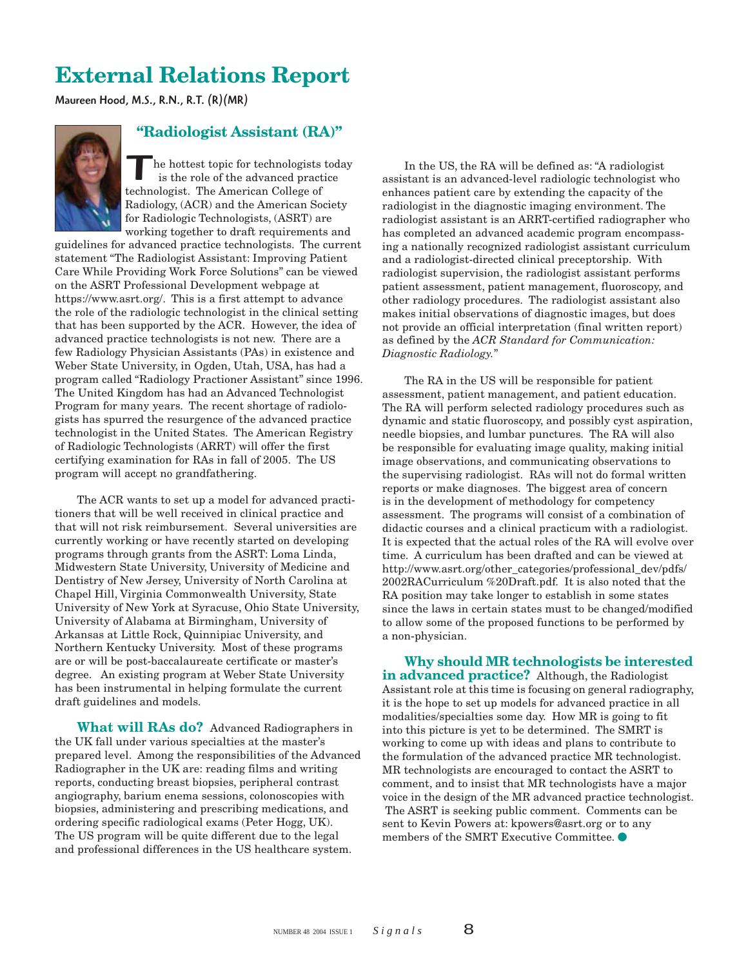# **External Relations Report**

Maureen Hood, M.S., R.N., R.T. (R)(MR)



## **"Radiologist Assistant (RA)"**

The hottest topic for technologists<br>is the role of the advanced pract<br>technologist. The American College of he hottest topic for technologists today is the role of the advanced practice Radiology, (ACR) and the American Society for Radiologic Technologists, (ASRT) are working together to draft requirements and

guidelines for advanced practice technologists. The current statement "The Radiologist Assistant: Improving Patient Care While Providing Work Force Solutions" can be viewed on the ASRT Professional Development webpage at https://www.asrt.org/. This is a first attempt to advance the role of the radiologic technologist in the clinical setting that has been supported by the ACR. However, the idea of advanced practice technologists is not new. There are a few Radiology Physician Assistants (PAs) in existence and Weber State University, in Ogden, Utah, USA, has had a program called "Radiology Practioner Assistant" since 1996. The United Kingdom has had an Advanced Technologist Program for many years. The recent shortage of radiologists has spurred the resurgence of the advanced practice technologist in the United States. The American Registry of Radiologic Technologists (ARRT) will offer the first certifying examination for RAs in fall of 2005. The US program will accept no grandfathering.

The ACR wants to set up a model for advanced practitioners that will be well received in clinical practice and that will not risk reimbursement. Several universities are currently working or have recently started on developing programs through grants from the ASRT: Loma Linda, Midwestern State University, University of Medicine and Dentistry of New Jersey, University of North Carolina at Chapel Hill, Virginia Commonwealth University, State University of New York at Syracuse, Ohio State University, University of Alabama at Birmingham, University of Arkansas at Little Rock, Quinnipiac University, and Northern Kentucky University. Most of these programs are or will be post-baccalaureate certificate or master's degree. An existing program at Weber State University has been instrumental in helping formulate the current draft guidelines and models.

**What will RAs do?** Advanced Radiographers in the UK fall under various specialties at the master's prepared level. Among the responsibilities of the Advanced Radiographer in the UK are: reading films and writing reports, conducting breast biopsies, peripheral contrast angiography, barium enema sessions, colonoscopies with biopsies, administering and prescribing medications, and ordering specific radiological exams (Peter Hogg, UK). The US program will be quite different due to the legal and professional differences in the US healthcare system.

In the US, the RA will be defined as: "A radiologist assistant is an advanced-level radiologic technologist who enhances patient care by extending the capacity of the radiologist in the diagnostic imaging environment. The radiologist assistant is an ARRT-certified radiographer who has completed an advanced academic program encompassing a nationally recognized radiologist assistant curriculum and a radiologist-directed clinical preceptorship. With radiologist supervision, the radiologist assistant performs patient assessment, patient management, fluoroscopy, and other radiology procedures. The radiologist assistant also makes initial observations of diagnostic images, but does not provide an official interpretation (final written report) as defined by the *ACR Standard for Communication: Diagnostic Radiology.*"

The RA in the US will be responsible for patient assessment, patient management, and patient education. The RA will perform selected radiology procedures such as dynamic and static fluoroscopy, and possibly cyst aspiration, needle biopsies, and lumbar punctures. The RA will also be responsible for evaluating image quality, making initial image observations, and communicating observations to the supervising radiologist. RAs will not do formal written reports or make diagnoses. The biggest area of concern is in the development of methodology for competency assessment. The programs will consist of a combination of didactic courses and a clinical practicum with a radiologist. It is expected that the actual roles of the RA will evolve over time. A curriculum has been drafted and can be viewed at http://www.asrt.org/other\_categories/professional\_dev/pdfs/ 2002RACurriculum %20Draft.pdf. It is also noted that the RA position may take longer to establish in some states since the laws in certain states must to be changed/modified to allow some of the proposed functions to be performed by a non-physician.

**Why should MR technologists be interested in advanced practice?** Although, the Radiologist Assistant role at this time is focusing on general radiography, it is the hope to set up models for advanced practice in all modalities/specialties some day. How MR is going to fit into this picture is yet to be determined. The SMRT is working to come up with ideas and plans to contribute to the formulation of the advanced practice MR technologist. MR technologists are encouraged to contact the ASRT to comment, and to insist that MR technologists have a major voice in the design of the MR advanced practice technologist. The ASRT is seeking public comment. Comments can be sent to Kevin Powers at: kpowers@asrt.org or to any members of the SMRT Executive Committee.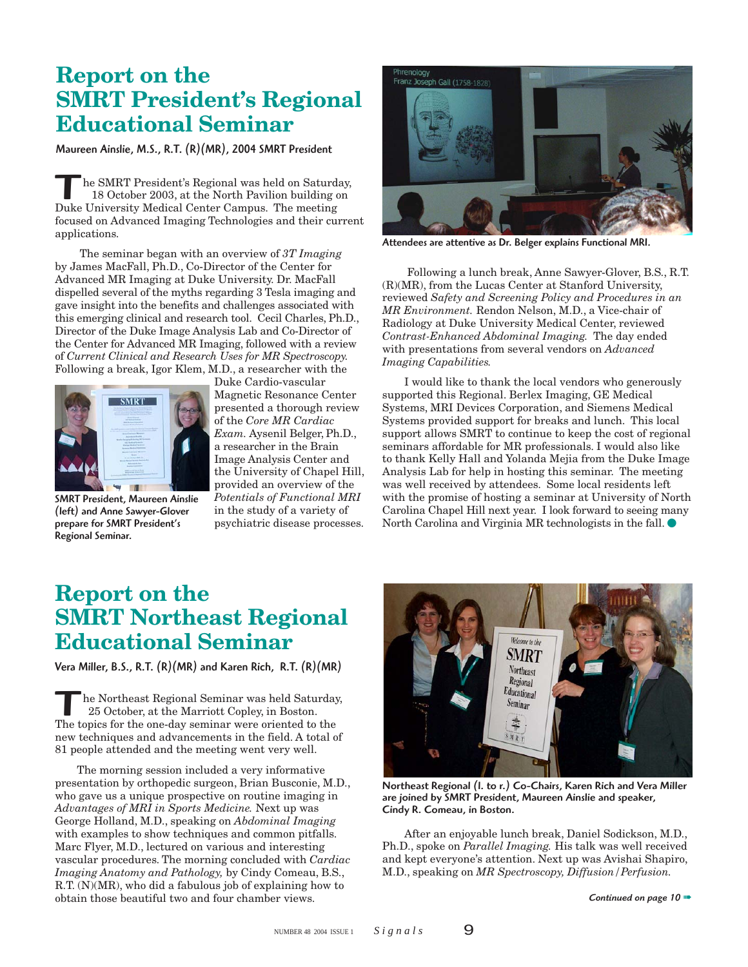# **Report on the SMRT President's Regional Educational Seminar**

Maureen Ainslie, M.S., R.T. (R)(MR), 2004 SMRT President

The SMRT President's Regional was held on Saturd 18 October 2003, at the North Pavilion building<br>Duke University Medical Center Campus. The meeting he SMRT President's Regional was held on Saturday, 18 October 2003, at the North Pavilion building on focused on Advanced Imaging Technologies and their current applications.

The seminar began with an overview of *3T Imaging* by James MacFall, Ph.D., Co-Director of the Center for Advanced MR Imaging at Duke University. Dr. MacFall dispelled several of the myths regarding 3 Tesla imaging and gave insight into the benefits and challenges associated with this emerging clinical and research tool. Cecil Charles, Ph.D., Director of the Duke Image Analysis Lab and Co-Director of the Center for Advanced MR Imaging, followed with a review of *Current Clinical and Research Uses for MR Spectroscopy.* Following a break, Igor Klem, M.D., a researcher with the



SMRT President, Maureen Ainslie (left) and Anne Sawyer-Glover prepare for SMRT President's Regional Seminar.

Duke Cardio-vascular Magnetic Resonance Center presented a thorough review of the *Core MR Cardiac Exam.* Aysenil Belger, Ph.D., a researcher in the Brain Image Analysis Center and the University of Chapel Hill, provided an overview of the *Potentials of Functional MRI* in the study of a variety of psychiatric disease processes.



Attendees are attentive as Dr. Belger explains Functional MRI.

 Following a lunch break, Anne Sawyer-Glover, B.S., R.T. (R)(MR), from the Lucas Center at Stanford University, reviewed *Safety and Screening Policy and Procedures in an MR Environment.* Rendon Nelson, M.D., a Vice-chair of Radiology at Duke University Medical Center, reviewed *Contrast-Enhanced Abdominal Imaging.* The day ended with presentations from several vendors on *Advanced Imaging Capabilities.*

I would like to thank the local vendors who generously supported this Regional. Berlex Imaging, GE Medical Systems, MRI Devices Corporation, and Siemens Medical Systems provided support for breaks and lunch. This local support allows SMRT to continue to keep the cost of regional seminars affordable for MR professionals. I would also like to thank Kelly Hall and Yolanda Mejia from the Duke Image Analysis Lab for help in hosting this seminar. The meeting was well received by attendees. Some local residents left with the promise of hosting a seminar at University of North Carolina Chapel Hill next year. I look forward to seeing many North Carolina and Virginia MR technologists in the fall.  $\bullet$ 

# **Report on the SMRT Northeast Regional Educational Seminar**

Vera Miller, B.S., R.T. (R)(MR) and Karen Rich, R.T. (R)(MR)

he Northeast Regional Seminar was held Saturday, 25 October, at the Marriott Copley, in Boston. The topics for the one-day seminar were oriented to the new techniques and advancements in the field. A total of 81 people attended and the meeting went very well.

The morning session included a very informative presentation by orthopedic surgeon, Brian Busconie, M.D., who gave us a unique prospective on routine imaging in *Advantages of MRI in Sports Medicine.* Next up was George Holland, M.D., speaking on *Abdominal Imaging* with examples to show techniques and common pitfalls. Marc Flyer, M.D., lectured on various and interesting vascular procedures. The morning concluded with *Cardiac Imaging Anatomy and Pathology,* by Cindy Comeau, B.S., R.T. (N)(MR), who did a fabulous job of explaining how to obtain those beautiful two and four chamber views.



Northeast Regional (l. to r.) Co-Chairs, Karen Rich and Vera Miller are joined by SMRT President, Maureen Ainslie and speaker, Cindy R. Comeau, in Boston.

After an enjoyable lunch break, Daniel Sodickson, M.D., Ph.D., spoke on *Parallel Imaging.* His talk was well received and kept everyone's attention. Next up was Avishai Shapiro, M.D., speaking on *MR Spectroscopy, Diffusion/Perfusion.*

*Continued on page 10* ➠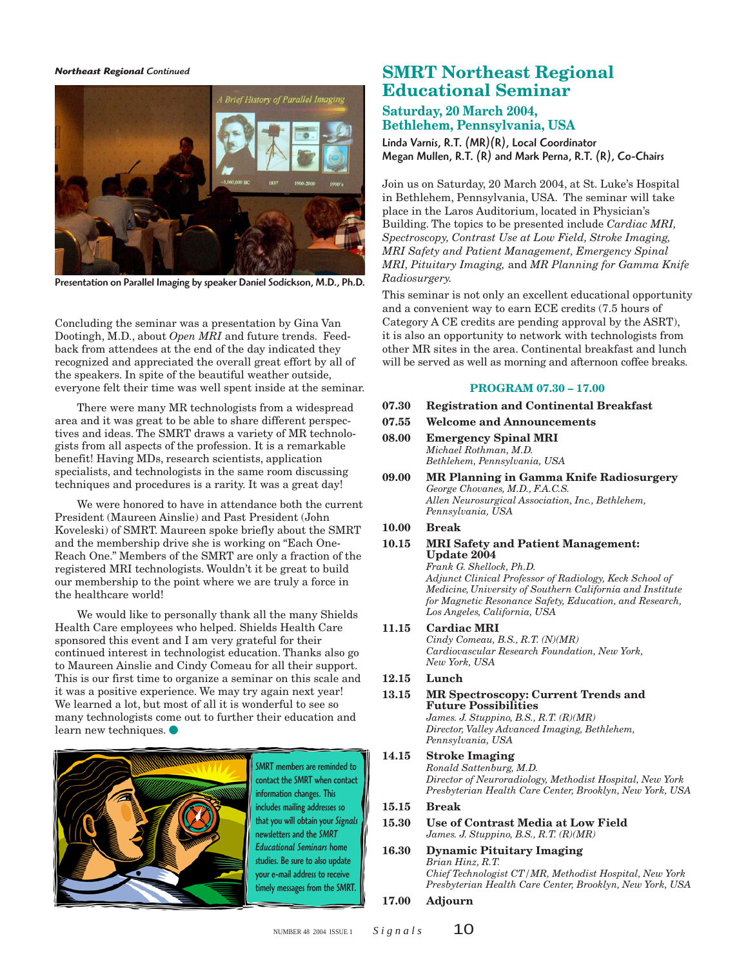#### *Northeast Regional Continued*



Presentation on Parallel Imaging by speaker Daniel Sodickson, M.D., Ph.D.

Concluding the seminar was a presentation by Gina Van Dootingh, M.D., about *Open MRI* and future trends. Feedback from attendees at the end of the day indicated they recognized and appreciated the overall great effort by all of the speakers. In spite of the beautiful weather outside, everyone felt their time was well spent inside at the seminar.

There were many MR technologists from a widespread area and it was great to be able to share different perspectives and ideas. The SMRT draws a variety of MR technologists from all aspects of the profession. It is a remarkable benefit! Having MDs, research scientists, application specialists, and technologists in the same room discussing techniques and procedures is a rarity. It was a great day!

We were honored to have in attendance both the current President (Maureen Ainslie) and Past President (John Koveleski) of SMRT. Maureen spoke briefly about the SMRT and the membership drive she is working on "Each One-Reach One." Members of the SMRT are only a fraction of the registered MRI technologists. Wouldn't it be great to build our membership to the point where we are truly a force in the healthcare world!

We would like to personally thank all the many Shields Health Care employees who helped. Shields Health Care sponsored this event and I am very grateful for their continued interest in technologist education. Thanks also go to Maureen Ainslie and Cindy Comeau for all their support. This is our first time to organize a seminar on this scale and it was a positive experience. We may try again next year! We learned a lot, but most of all it is wonderful to see so many technologists come out to further their education and learn new techniques.



SMRT members are reminded to contact the SMRT when contact information changes. This includes mailing addresses so that you will obtain your *Signals* newsletters and the *SMRT Educational Seminars* home studies. Be sure to also update your e-mail address to receive timely messages from the SMRT.

## **SMRT Northeast Regional Educational Seminar**

## **Saturday, 20 March 2004, Bethlehem, Pennsylvania, USA**

Linda Varnis, R.T. (MR)(R), Local Coordinator Megan Mullen, R.T. (R) and Mark Perna, R.T. (R), Co-Chairs

Join us on Saturday, 20 March 2004, at St. Luke's Hospital in Bethlehem, Pennsylvania, USA. The seminar will take place in the Laros Auditorium, located in Physician's Building. The topics to be presented include *Cardiac MRI, Spectroscopy, Contrast Use at Low Field, Stroke Imaging, MRI Safety and Patient Management, Emergency Spinal MRI, Pituitary Imaging,* and *MR Planning for Gamma Knife Radiosurgery.*

This seminar is not only an excellent educational opportunity and a convenient way to earn ECE credits (7.5 hours of Category A CE credits are pending approval by the ASRT), it is also an opportunity to network with technologists from other MR sites in the area. Continental breakfast and lunch will be served as well as morning and afternoon coffee breaks.

### **PROGRAM 07.30 – 17.00**

- **07.30 Registration and Continental Breakfast**
- **07.55 Welcome and Announcements**
- **08.00 Emergency Spinal MRI** *Michael Rothman, M.D. Bethlehem, Pennsylvania, USA*
- **09.00 MR Planning in Gamma Knife Radiosurgery** *George Chovanes, M.D., F.A.C.S. Allen Neurosurgical Association, Inc., Bethlehem, Pennsylvania, USA*

## **10.00 Break**

**10.15 MRI Safety and Patient Management: Update 2004** *Frank G. Shellock, Ph.D. Adjunct Clinical Professor of Radiology, Keck School of*

*Medicine,University of Southern California and Institute for Magnetic Resonance Safety, Education, and Research, Los Angeles, California, USA*

### **11.15 Cardiac MRI**

*Cindy Comeau, B.S., R.T. (N)(MR) Cardiovascular Research Foundation, New York, New York, USA*

## **12.15 Lunch**

**13.15 MR Spectroscopy: Current Trends and Future Possibilities** *James. J. Stuppino, B.S., R.T. (R)(MR)*

*Director, Valley Advanced Imaging, Bethlehem, Pennsylvania, USA*

#### **14.15 Stroke Imaging** *Ronald Sattenburg, M.D.*

*Director of Neuroradiology, Methodist Hospital, New York Presbyterian Health Care Center, Brooklyn, New York, USA*

## **15.15 Break**

#### **15.30 Use of Contrast Media at Low Field** *James. J. Stuppino, B.S., R.T. (R)(MR)*

### **16.30 Dynamic Pituitary Imaging** *Brian Hinz, R.T.*

*Chief Technologist CT/MR, Methodist Hospital, New York Presbyterian Health Care Center, Brooklyn, New York, USA*

## **17.00 Adjourn**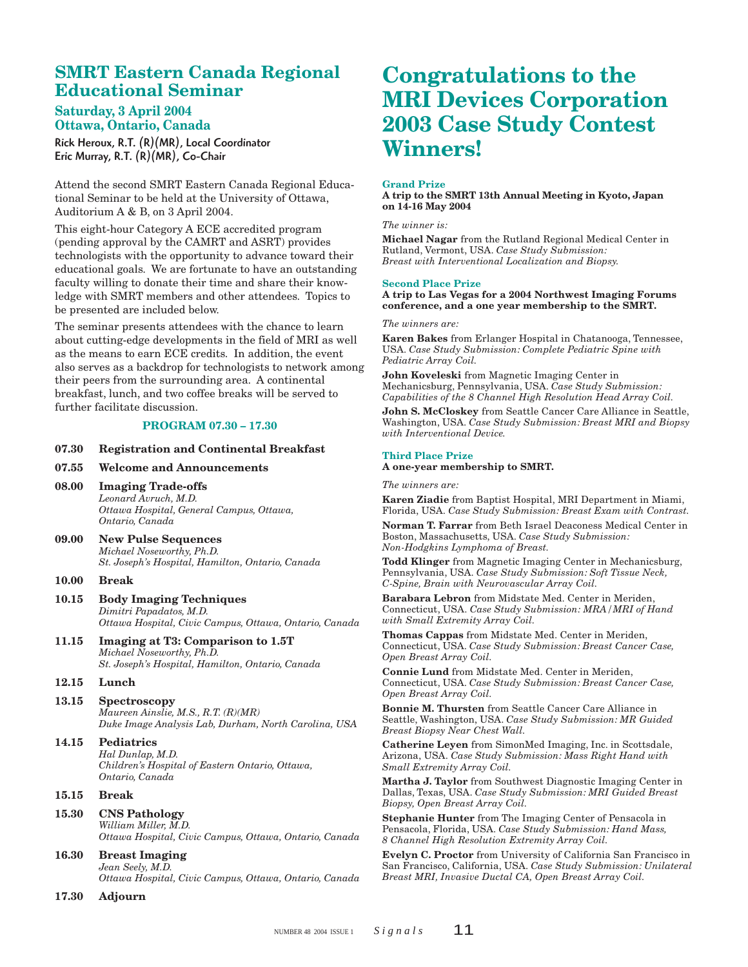## **SMRT Eastern Canada Regional Educational Seminar**

## **Saturday, 3 April 2004 Ottawa, Ontario, Canada**

Rick Heroux, R.T. (R)(MR), Local Coordinator Eric Murray, R.T. (R)(MR), Co-Chair

Attend the second SMRT Eastern Canada Regional Educational Seminar to be held at the University of Ottawa, Auditorium A & B, on 3 April 2004.

This eight-hour Category A ECE accredited program (pending approval by the CAMRT and ASRT) provides technologists with the opportunity to advance toward their educational goals. We are fortunate to have an outstanding faculty willing to donate their time and share their knowledge with SMRT members and other attendees. Topics to be presented are included below.

The seminar presents attendees with the chance to learn about cutting-edge developments in the field of MRI as well as the means to earn ECE credits. In addition, the event also serves as a backdrop for technologists to network among their peers from the surrounding area. A continental breakfast, lunch, and two coffee breaks will be served to further facilitate discussion.

### **PROGRAM 07.30 – 17.30**

### **07.30 Registration and Continental Breakfast**

### **07.55 Welcome and Announcements**

- **08.00 Imaging Trade-offs** *Leonard Avruch, M.D. Ottawa Hospital, General Campus, Ottawa, Ontario, Canada*
- **09.00 New Pulse Sequences** *Michael Noseworthy, Ph.D. St. Joseph's Hospital, Hamilton, Ontario, Canada*

### **10.00 Break**

- **10.15 Body Imaging Techniques** *Dimitri Papadatos, M.D. Ottawa Hospital, Civic Campus, Ottawa, Ontario, Canada*
- **11.15 Imaging at T3: Comparison to 1.5T** *Michael Noseworthy, Ph.D. St. Joseph's Hospital, Hamilton, Ontario, Canada*

### **12.15 Lunch**

**13.15 Spectroscopy** *Maureen Ainslie, M.S., R.T. (R)(MR) Duke Image Analysis Lab, Durham, North Carolina, USA*

#### **14.15 Pediatrics** *Hal Dunlap, M.D. Children's Hospital of Eastern Ontario, Ottawa, Ontario, Canada*

## **15.15 Break**

- **15.30 CNS Pathology** *William Miller, M.D. Ottawa Hospital, Civic Campus, Ottawa, Ontario, Canada*
- **16.30 Breast Imaging** *Jean Seely, M.D. Ottawa Hospital, Civic Campus, Ottawa, Ontario, Canada*
- **17.30 Adjourn**

# **Congratulations to the MRI Devices Corporation 2003 Case Study Contest Winners!**

#### **Grand Prize**

**A trip to the SMRT 13th Annual Meeting in Kyoto, Japan on 14-16 May 2004**

#### *The winner is:*

**Michael Nagar** from the Rutland Regional Medical Center in Rutland, Vermont, USA. *Case Study Submission: Breast with Interventional Localization and Biopsy.*

#### **Second Place Prize**

**A trip to Las Vegas for a 2004 Northwest Imaging Forums conference, and a one year membership to the SMRT.**

### *The winners are:*

**Karen Bakes** from Erlanger Hospital in Chatanooga, Tennessee, USA. *Case Study Submission: Complete Pediatric Spine with Pediatric Array Coil.*

**John Koveleski** from Magnetic Imaging Center in Mechanicsburg, Pennsylvania, USA. *Case Study Submission: Capabilities of the 8 Channel High Resolution Head Array Coil.*

**John S. McCloskey** from Seattle Cancer Care Alliance in Seattle, Washington, USA. *Case Study Submission: Breast MRI and Biopsy with Interventional Device.*

### **Third Place Prize**

**A one-year membership to SMRT.**

#### *The winners are:*

**Karen Ziadie** from Baptist Hospital, MRI Department in Miami, Florida, USA. *Case Study Submission: Breast Exam with Contrast.*

**Norman T. Farrar** from Beth Israel Deaconess Medical Center in Boston, Massachusetts, USA. *Case Study Submission: Non-Hodgkins Lymphoma of Breast.*

**Todd Klinger** from Magnetic Imaging Center in Mechanicsburg, Pennsylvania, USA. *Case Study Submission: Soft Tissue Neck, C-Spine, Brain with Neurovascular Array Coil.*

**Barabara Lebron** from Midstate Med. Center in Meriden, Connecticut, USA. *Case Study Submission: MRA/MRI of Hand with Small Extremity Array Coil.*

**Thomas Cappas** from Midstate Med. Center in Meriden, Connecticut, USA. *Case Study Submission: Breast Cancer Case, Open Breast Array Coil.*

**Connie Lund** from Midstate Med. Center in Meriden, Connecticut, USA. *Case Study Submission: Breast Cancer Case, Open Breast Array Coil.*

**Bonnie M. Thursten** from Seattle Cancer Care Alliance in Seattle, Washington, USA. *Case Study Submission: MR Guided Breast Biopsy Near Chest Wall.*

**Catherine Leyen** from SimonMed Imaging, Inc. in Scottsdale, Arizona, USA. *Case Study Submission: Mass Right Hand with Small Extremity Array Coil.*

**Martha J. Taylor** from Southwest Diagnostic Imaging Center in Dallas, Texas, USA. *Case Study Submission: MRI Guided Breast Biopsy, Open Breast Array Coil.*

**Stephanie Hunter** from The Imaging Center of Pensacola in Pensacola, Florida, USA. *Case Study Submission: Hand Mass, 8 Channel High Resolution Extremity Array Coil.*

**Evelyn C. Proctor** from University of California San Francisco in San Francisco, California, USA. *Case Study Submission: Unilateral Breast MRI, Invasive Ductal CA, Open Breast Array Coil.*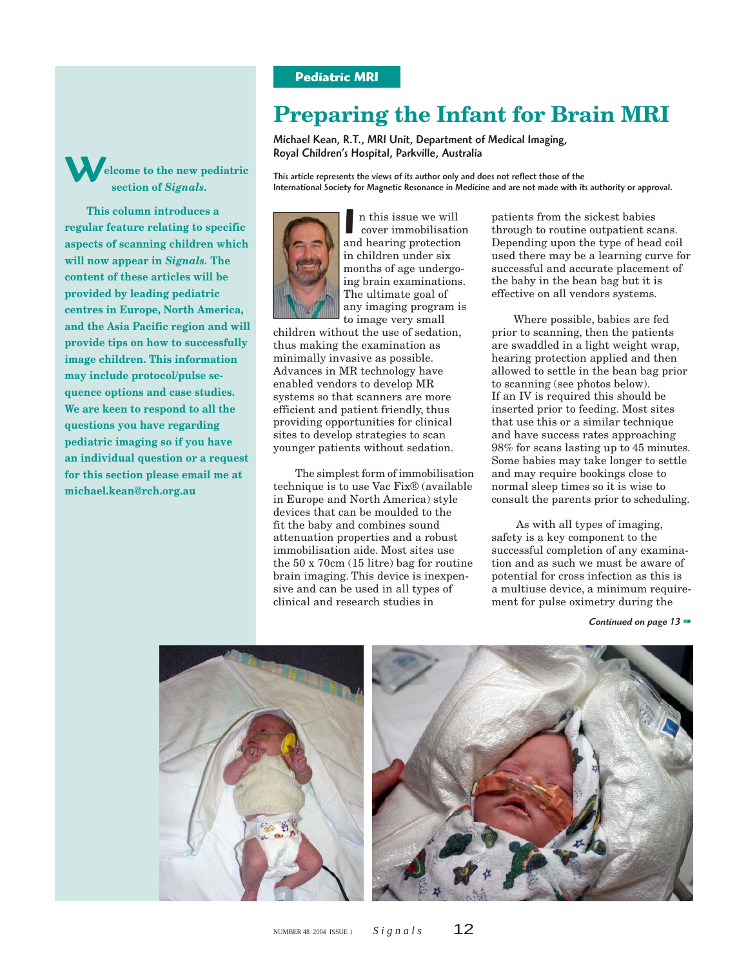## **Pediatric MRI**

# **Preparing the Infant for Brain MRI**

Michael Kean, R.T., MRI Unit, Department of Medical Imaging, Royal Children's Hospital, Parkville, Australia

This article represents the views of its author only and does not reflect those of the International Society for Magnetic Resonance in Medicine and are not made with its authority or approval.



W

**michael.kean@rch.org.au**

**elcome to the new pediatric section of** *Signals.* **This column introduces a regular feature relating to specific aspects of scanning children which will now appear in** *Signals.* **The content of these articles will be provided by leading pediatric centres in Europe, North America, and the Asia Pacific region and will provide tips on how to successfully image children. This information may include protocol/pulse sequence options and case studies. We are keen to respond to all the questions you have regarding pediatric imaging so if you have an individual question or a request for this section please email me at**

In this issue we will<br>cover immobilisation<br>and hearing protection n this issue we will cover immobilisation in children under six months of age undergoing brain examinations. The ultimate goal of any imaging program is to image very small

children without the use of sedation, thus making the examination as minimally invasive as possible. Advances in MR technology have enabled vendors to develop MR systems so that scanners are more efficient and patient friendly, thus providing opportunities for clinical sites to develop strategies to scan younger patients without sedation.

The simplest form of immobilisation technique is to use Vac Fix® (available in Europe and North America) style devices that can be moulded to the fit the baby and combines sound attenuation properties and a robust immobilisation aide. Most sites use the 50 x 70cm (15 litre) bag for routine brain imaging. This device is inexpensive and can be used in all types of clinical and research studies in

patients from the sickest babies through to routine outpatient scans. Depending upon the type of head coil used there may be a learning curve for successful and accurate placement of the baby in the bean bag but it is effective on all vendors systems.

Where possible, babies are fed prior to scanning, then the patients are swaddled in a light weight wrap, hearing protection applied and then allowed to settle in the bean bag prior to scanning (see photos below). If an IV is required this should be inserted prior to feeding. Most sites that use this or a similar technique and have success rates approaching 98% for scans lasting up to 45 minutes. Some babies may take longer to settle and may require bookings close to normal sleep times so it is wise to consult the parents prior to scheduling.

As with all types of imaging, safety is a key component to the successful completion of any examination and as such we must be aware of potential for cross infection as this is a multiuse device, a minimum requirement for pulse oximetry during the

*Continued on page 13* ➠



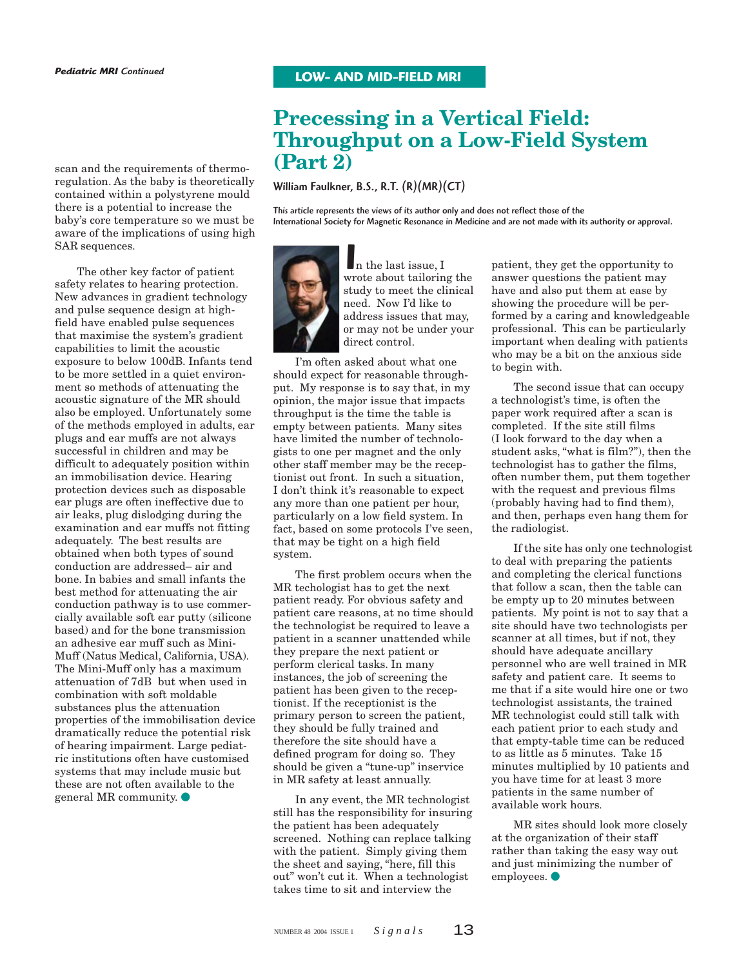## **Precessing in a Vertical Field: Throughput on a Low-Field System (Part 2)**

William Faulkner, B.S., R.T. (R)(MR)(CT)

This article represents the views of its author only and does not reflect those of the International Society for Magnetic Resonance in Medicine and are not made with its authority or approval.



I<br><sub>wr</sub> n the last issue, I wrote about tailoring the study to meet the clinical need. Now I'd like to address issues that may, or may not be under your direct control.

I'm often asked about what one should expect for reasonable throughput. My response is to say that, in my opinion, the major issue that impacts throughput is the time the table is empty between patients. Many sites have limited the number of technologists to one per magnet and the only other staff member may be the receptionist out front. In such a situation, I don't think it's reasonable to expect any more than one patient per hour, particularly on a low field system. In fact, based on some protocols I've seen, that may be tight on a high field system.

The first problem occurs when the MR techologist has to get the next patient ready. For obvious safety and patient care reasons, at no time should the technologist be required to leave a patient in a scanner unattended while they prepare the next patient or perform clerical tasks. In many instances, the job of screening the patient has been given to the receptionist. If the receptionist is the primary person to screen the patient, they should be fully trained and therefore the site should have a defined program for doing so. They should be given a "tune-up" inservice in MR safety at least annually.

In any event, the MR technologist still has the responsibility for insuring the patient has been adequately screened. Nothing can replace talking with the patient. Simply giving them the sheet and saying, "here, fill this out" won't cut it. When a technologist takes time to sit and interview the

patient, they get the opportunity to answer questions the patient may have and also put them at ease by showing the procedure will be performed by a caring and knowledgeable professional. This can be particularly important when dealing with patients who may be a bit on the anxious side to begin with.

The second issue that can occupy a technologist's time, is often the paper work required after a scan is completed. If the site still films (I look forward to the day when a student asks, "what is film?"), then the technologist has to gather the films, often number them, put them together with the request and previous films (probably having had to find them), and then, perhaps even hang them for the radiologist.

If the site has only one technologist to deal with preparing the patients and completing the clerical functions that follow a scan, then the table can be empty up to 20 minutes between patients. My point is not to say that a site should have two technologists per scanner at all times, but if not, they should have adequate ancillary personnel who are well trained in MR safety and patient care. It seems to me that if a site would hire one or two technologist assistants, the trained MR technologist could still talk with each patient prior to each study and that empty-table time can be reduced to as little as 5 minutes. Take 15 minutes multiplied by 10 patients and you have time for at least 3 more patients in the same number of available work hours.

MR sites should look more closely at the organization of their staff rather than taking the easy way out and just minimizing the number of employees.  $\bullet$ 

scan and the requirements of thermoregulation. As the baby is theoretically contained within a polystyrene mould there is a potential to increase the baby's core temperature so we must be aware of the implications of using high SAR sequences.

The other key factor of patient safety relates to hearing protection. New advances in gradient technology and pulse sequence design at highfield have enabled pulse sequences that maximise the system's gradient capabilities to limit the acoustic exposure to below 100dB. Infants tend to be more settled in a quiet environment so methods of attenuating the acoustic signature of the MR should also be employed. Unfortunately some of the methods employed in adults, ear plugs and ear muffs are not always successful in children and may be difficult to adequately position within an immobilisation device. Hearing protection devices such as disposable ear plugs are often ineffective due to air leaks, plug dislodging during the examination and ear muffs not fitting adequately. The best results are obtained when both types of sound conduction are addressed– air and bone. In babies and small infants the best method for attenuating the air conduction pathway is to use commercially available soft ear putty (silicone based) and for the bone transmission an adhesive ear muff such as Mini-Muff (Natus Medical, California, USA). The Mini-Muff only has a maximum attenuation of 7dB but when used in combination with soft moldable substances plus the attenuation properties of the immobilisation device dramatically reduce the potential risk of hearing impairment. Large pediatric institutions often have customised systems that may include music but these are not often available to the general MR community.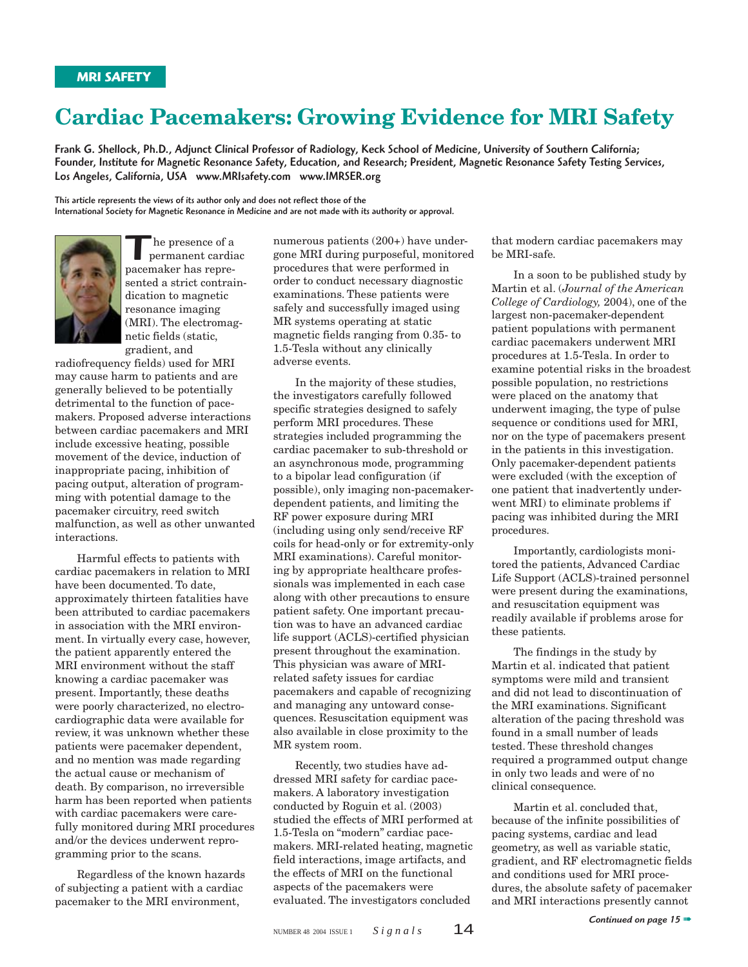# **Cardiac Pacemakers: Growing Evidence for MRI Safety**

Frank G. Shellock, Ph.D., Adjunct Clinical Professor of Radiology, Keck School of Medicine, University of Southern California; Founder, Institute for Magnetic Resonance Safety, Education, and Research; President, Magnetic Resonance Safety Testing Services, Los Angeles, California, USA www.MRIsafety.com www.IMRSER.org

This article represents the views of its author only and does not reflect those of the International Society for Magnetic Resonance in Medicine and are not made with its authority or approval.



The presence of a<br>
pacemaker has repre he presence of a permanent cardiac sented a strict contraindication to magnetic resonance imaging (MRI). The electromagnetic fields (static, gradient, and

radiofrequency fields) used for MRI may cause harm to patients and are generally believed to be potentially detrimental to the function of pacemakers. Proposed adverse interactions between cardiac pacemakers and MRI include excessive heating, possible movement of the device, induction of inappropriate pacing, inhibition of pacing output, alteration of programming with potential damage to the pacemaker circuitry, reed switch malfunction, as well as other unwanted interactions.

Harmful effects to patients with cardiac pacemakers in relation to MRI have been documented. To date, approximately thirteen fatalities have been attributed to cardiac pacemakers in association with the MRI environment. In virtually every case, however, the patient apparently entered the MRI environment without the staff knowing a cardiac pacemaker was present. Importantly, these deaths were poorly characterized, no electrocardiographic data were available for review, it was unknown whether these patients were pacemaker dependent, and no mention was made regarding the actual cause or mechanism of death. By comparison, no irreversible harm has been reported when patients with cardiac pacemakers were carefully monitored during MRI procedures and/or the devices underwent reprogramming prior to the scans.

Regardless of the known hazards of subjecting a patient with a cardiac pacemaker to the MRI environment,

numerous patients (200+) have undergone MRI during purposeful, monitored procedures that were performed in order to conduct necessary diagnostic examinations. These patients were safely and successfully imaged using MR systems operating at static magnetic fields ranging from 0.35- to 1.5-Tesla without any clinically adverse events.

In the majority of these studies, the investigators carefully followed specific strategies designed to safely perform MRI procedures. These strategies included programming the cardiac pacemaker to sub-threshold or an asynchronous mode, programming to a bipolar lead configuration (if possible), only imaging non-pacemakerdependent patients, and limiting the RF power exposure during MRI (including using only send/receive RF coils for head-only or for extremity-only MRI examinations). Careful monitoring by appropriate healthcare professionals was implemented in each case along with other precautions to ensure patient safety. One important precaution was to have an advanced cardiac life support (ACLS)-certified physician present throughout the examination. This physician was aware of MRIrelated safety issues for cardiac pacemakers and capable of recognizing and managing any untoward consequences. Resuscitation equipment was also available in close proximity to the MR system room.

Recently, two studies have addressed MRI safety for cardiac pacemakers. A laboratory investigation conducted by Roguin et al. (2003) studied the effects of MRI performed at 1.5-Tesla on "modern" cardiac pacemakers. MRI-related heating, magnetic field interactions, image artifacts, and the effects of MRI on the functional aspects of the pacemakers were evaluated. The investigators concluded

that modern cardiac pacemakers may be MRI-safe.

In a soon to be published study by Martin et al. (*Journal of the American College of Cardiology,* 2004), one of the largest non-pacemaker-dependent patient populations with permanent cardiac pacemakers underwent MRI procedures at 1.5-Tesla. In order to examine potential risks in the broadest possible population, no restrictions were placed on the anatomy that underwent imaging, the type of pulse sequence or conditions used for MRI. nor on the type of pacemakers present in the patients in this investigation. Only pacemaker-dependent patients were excluded (with the exception of one patient that inadvertently underwent MRI) to eliminate problems if pacing was inhibited during the MRI procedures.

Importantly, cardiologists monitored the patients, Advanced Cardiac Life Support (ACLS)-trained personnel were present during the examinations, and resuscitation equipment was readily available if problems arose for these patients.

The findings in the study by Martin et al. indicated that patient symptoms were mild and transient and did not lead to discontinuation of the MRI examinations. Significant alteration of the pacing threshold was found in a small number of leads tested. These threshold changes required a programmed output change in only two leads and were of no clinical consequence.

Martin et al. concluded that, because of the infinite possibilities of pacing systems, cardiac and lead geometry, as well as variable static, gradient, and RF electromagnetic fields and conditions used for MRI procedures, the absolute safety of pacemaker and MRI interactions presently cannot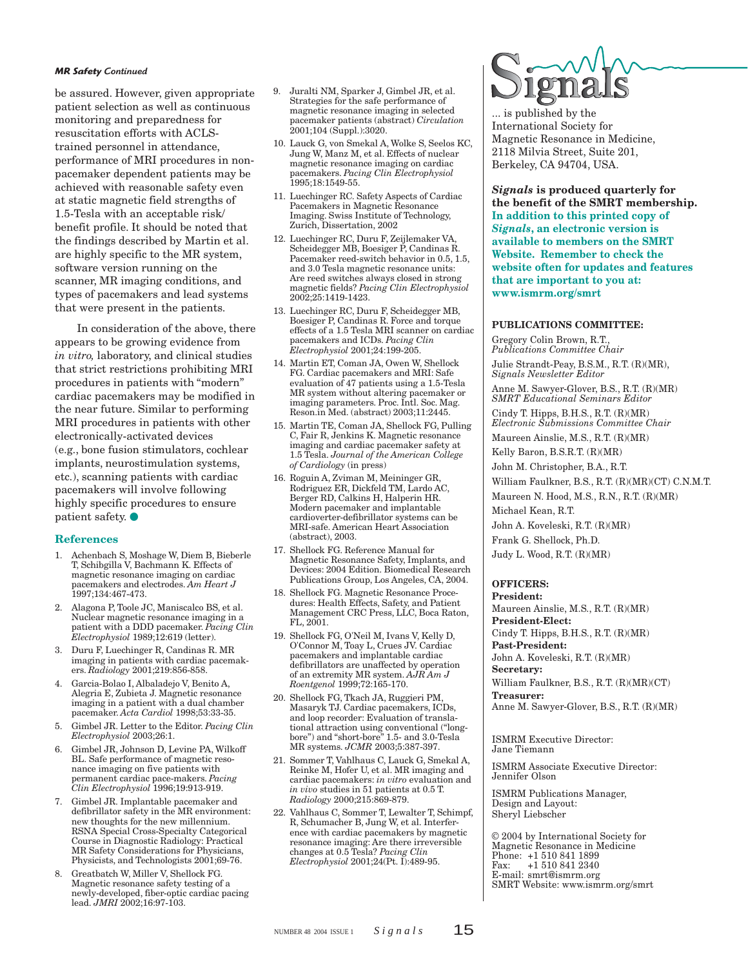#### *MR Safety Continued*

be assured. However, given appropriate patient selection as well as continuous monitoring and preparedness for resuscitation efforts with ACLStrained personnel in attendance, performance of MRI procedures in nonpacemaker dependent patients may be achieved with reasonable safety even at static magnetic field strengths of 1.5-Tesla with an acceptable risk/ benefit profile. It should be noted that the findings described by Martin et al. are highly specific to the MR system, software version running on the scanner, MR imaging conditions, and types of pacemakers and lead systems that were present in the patients.

In consideration of the above, there appears to be growing evidence from *in vitro,* laboratory, and clinical studies that strict restrictions prohibiting MRI procedures in patients with "modern" cardiac pacemakers may be modified in the near future. Similar to performing MRI procedures in patients with other electronically-activated devices (e.g., bone fusion stimulators, cochlear implants, neurostimulation systems, etc.), scanning patients with cardiac pacemakers will involve following highly specific procedures to ensure patient safety.

#### **References**

- 1. Achenbach S, Moshage W, Diem B, Bieberle T, Schibgilla V, Bachmann K. Effects of magnetic resonance imaging on cardiac pacemakers and electrodes. *Am Heart J* 1997;134:467-473.
- 2. Alagona P, Toole JC, Maniscalco BS, et al. Nuclear magnetic resonance imaging in a patient with a DDD pacemaker. *Pacing Clin Electrophysiol* 1989;12:619 (letter).
- 3. Duru F, Luechinger R, Candinas R. MR imaging in patients with cardiac pacemakers. *Radiology* 2001;219:856-858.
- 4. Garcia-Bolao I, Albaladejo V, Benito A, Alegria E, Zubieta J. Magnetic resonance imaging in a patient with a dual chamber pacemaker. *Acta Cardiol* 1998;53:33-35.
- 5. Gimbel JR. Letter to the Editor. *Pacing Clin Electrophysiol* 2003;26:1.
- 6. Gimbel JR, Johnson D, Levine PA, Wilkoff BL. Safe performance of magnetic resonance imaging on five patients with permanent cardiac pace-makers. *Pacing Clin Electrophysiol* 1996;19:913-919.
- 7. Gimbel JR. Implantable pacemaker and defibrillator safety in the MR environment: new thoughts for the new millennium. RSNA Special Cross-Specialty Categorical Course in Diagnostic Radiology: Practical MR Safety Considerations for Physicians, Physicists, and Technologists 2001;69-76.
- 8. Greatbatch W, Miller V, Shellock FG. Magnetic resonance safety testing of a newly-developed, fiber-optic cardiac pacing lead. *JMRI* 2002;16:97-103.
- 9. Juralti NM, Sparker J, Gimbel JR, et al. Strategies for the safe performance of magnetic resonance imaging in selected pacemaker patients (abstract) *Circulation* 2001;104 (Suppl.):3020.
- 10. Lauck G, von Smekal A, Wolke S, Seelos KC, Jung W, Manz M, et al. Effects of nuclear magnetic resonance imaging on cardiac pacemakers. *Pacing Clin Electrophysiol* 1995;18:1549-55.
- 11. Luechinger RC. Safety Aspects of Cardiac Pacemakers in Magnetic Resonance Imaging. Swiss Institute of Technology, Zurich, Dissertation, 2002
- 12. Luechinger RC, Duru F, Zeijlemaker VA, Scheidegger MB, Boesiger P, Candinas R. Pacemaker reed-switch behavior in 0.5, 1.5, and 3.0 Tesla magnetic resonance units: Are reed switches always closed in strong magnetic fields? *Pacing Clin Electrophysiol* 2002;25:1419-1423.
- 13. Luechinger RC, Duru F, Scheidegger MB, Boesiger P, Candinas R. Force and torque effects of a 1.5 Tesla MRI scanner on cardiac pacemakers and ICDs. *Pacing Clin Electrophysiol* 2001;24:199-205.
- 14. Martin ET, Coman JA, Owen W, Shellock FG. Cardiac pacemakers and MRI: Safe evaluation of 47 patients using a 1.5-Tesla MR system without altering pacemaker or imaging parameters. Proc. Intl. Soc. Mag. Reson.in Med. (abstract) 2003;11:2445.
- 15. Martin TE, Coman JA, Shellock FG, Pulling C, Fair R, Jenkins K. Magnetic resonance imaging and cardiac pacemaker safety at 1.5 Tesla. *Journal of the American College of Cardiology* (in press)
- 16. Roguin A, Zviman M, Meininger GR, Rodriguez ER, Dickfeld TM, Lardo AC, Berger RD, Calkins H, Halperin HR. Modern pacemaker and implantable cardioverter-defibrillator systems can be MRI-safe. American Heart Association (abstract), 2003.
- 17. Shellock FG. Reference Manual for Magnetic Resonance Safety, Implants, and Devices: 2004 Edition. Biomedical Research Publications Group, Los Angeles, CA, 2004.
- 18. Shellock FG. Magnetic Resonance Procedures: Health Effects, Safety, and Patient Management CRC Press, LLC, Boca Raton, FL, 2001.
- 19. Shellock FG, O'Neil M, Ivans V, Kelly D, O'Connor M, Toay L, Crues JV. Cardiac pacemakers and implantable cardiac defibrillators are unaffected by operation of an extremity MR system. *AJR Am J Roentgenol* 1999;72:165-170.
- 20. Shellock FG, Tkach JA, Ruggieri PM, Masaryk TJ. Cardiac pacemakers, ICDs, and loop recorder: Evaluation of translational attraction using conventional ("longbore") and "short-bore" 1.5- and 3.0-Tesla MR systems. *JCMR* 2003;5:387-397.
- 21. Sommer T, Vahlhaus C, Lauck G, Smekal A, Reinke M, Hofer U, et al. MR imaging and cardiac pacemakers: *in vitro* evaluation and *in vivo* studies in 51 patients at 0.5 T. *Radiology* 2000;215:869-879.
- 22. Vahlhaus C, Sommer T, Lewalter T, Schimpf, R, Schumacher B, Jung W, et al. Interference with cardiac pacemakers by magnetic resonance imaging: Are there irreversible changes at 0.5 Tesla? *Pacing Clin Electrophysiol* 2001;24(Pt. I):489-95.



... is published by the International Society for Magnetic Resonance in Medicine, 2118 Milvia Street, Suite 201, Berkeley, CA 94704, USA.

*Signals* **is produced quarterly for the benefit of the SMRT membership. In addition to this printed copy of** *Signals***, an electronic version is available to members on the SMRT Website. Remember to check the website often for updates and features that are important to you at: www.ismrm.org/smrt**

#### **PUBLICATIONS COMMITTEE:**

Gregory Colin Brown, R.T., *Publications Committee Chair* Julie Strandt-Peay, B.S.M., R.T. (R)(MR), *Signals Newsletter Editor*

Anne M. Sawyer-Glover, B.S., R.T. (R)(MR) *SMRT Educational Seminars Editor*

Cindy T. Hipps, B.H.S., R.T. (R)(MR) *Electronic Submissions Committee Chair* Maureen Ainslie, M.S., R.T. (R)(MR)

Kelly Baron, B.S.R.T. (R)(MR)

John M. Christopher, B.A., R.T.

William Faulkner, B.S., R.T. (R)(MR)(CT) C.N.M.T. Maureen N. Hood, M.S., R.N., R.T. (R)(MR)

Michael Kean, R.T.

John A. Koveleski, R.T. (R)(MR)

Frank G. Shellock, Ph.D.

## Judy L. Wood, R.T. (R)(MR)

## **OFFICERS:**

**President:** Maureen Ainslie, M.S., R.T. (R)(MR) **President-Elect:** Cindy T. Hipps, B.H.S., R.T. (R)(MR) **Past-President:** John A. Koveleski, R.T. (R)(MR) **Secretary:** William Faulkner, B.S., R.T. (R)(MR)(CT) **Treasurer:** Anne M. Sawyer-Glover, B.S., R.T. (R)(MR)

ISMRM Executive Director: Jane Tiemann

ISMRM Associate Executive Director: Jennifer Olson

ISMRM Publications Manager, Design and Layout: Sheryl Liebscher

© 2004 by International Society for Magnetic Resonance in Medicine Phone: +1 510 841 1899<br>Fax: +1 510 841 2340 Fax: +1 510 841 2340 E-mail: smrt@ismrm.org SMRT Website: www.ismrm.org/smrt